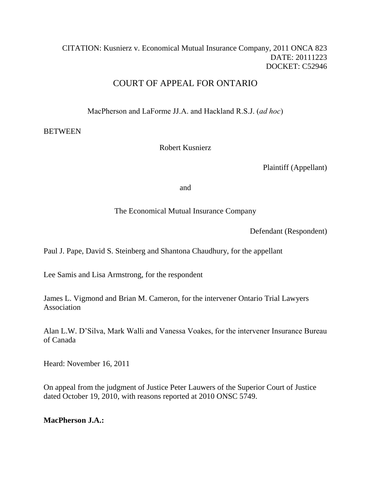# CITATION: Kusnierz v. Economical Mutual Insurance Company, 2011 ONCA 823 DATE: 20111223 DOCKET: C52946

# COURT OF APPEAL FOR ONTARIO

MacPherson and LaForme JJ.A. and Hackland R.S.J. (*ad hoc*)

# **BETWEEN**

Robert Kusnierz

Plaintiff (Appellant)

and

# The Economical Mutual Insurance Company

Defendant (Respondent)

Paul J. Pape, David S. Steinberg and Shantona Chaudhury, for the appellant

Lee Samis and Lisa Armstrong, for the respondent

James L. Vigmond and Brian M. Cameron, for the intervener Ontario Trial Lawyers Association

Alan L.W. D"Silva, Mark Walli and Vanessa Voakes, for the intervener Insurance Bureau of Canada

Heard: November 16, 2011

On appeal from the judgment of Justice Peter Lauwers of the Superior Court of Justice dated October 19, 2010, with reasons reported at 2010 ONSC 5749.

# **MacPherson J.A.:**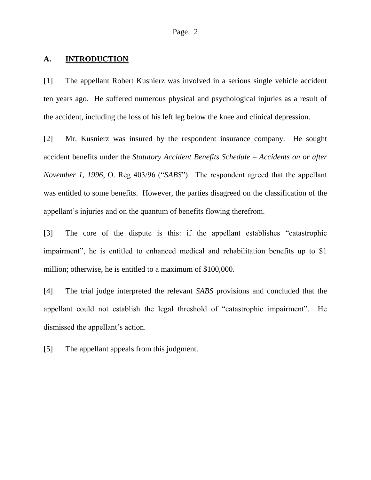#### **A. INTRODUCTION**

[1] The appellant Robert Kusnierz was involved in a serious single vehicle accident ten years ago. He suffered numerous physical and psychological injuries as a result of the accident, including the loss of his left leg below the knee and clinical depression.

[2] Mr. Kusnierz was insured by the respondent insurance company. He sought accident benefits under the *Statutory Accident Benefits Schedule – Accidents on or after November 1, 1996*, O. Reg 403/96 ("*SABS*"). The respondent agreed that the appellant was entitled to some benefits. However, the parties disagreed on the classification of the appellant"s injuries and on the quantum of benefits flowing therefrom.

[3] The core of the dispute is this: if the appellant establishes "catastrophic impairment", he is entitled to enhanced medical and rehabilitation benefits up to \$1 million; otherwise, he is entitled to a maximum of \$100,000.

[4] The trial judge interpreted the relevant *SABS* provisions and concluded that the appellant could not establish the legal threshold of "catastrophic impairment". He dismissed the appellant's action.

[5] The appellant appeals from this judgment.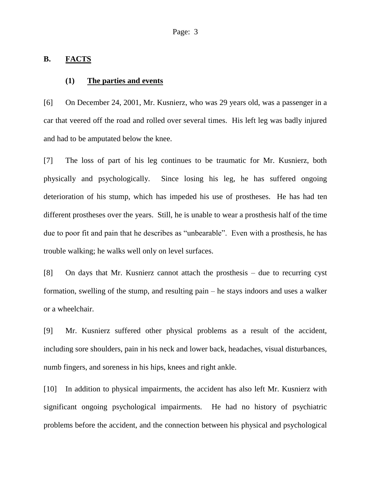#### **B. FACTS**

#### **(1) The parties and events**

[6] On December 24, 2001, Mr. Kusnierz, who was 29 years old, was a passenger in a car that veered off the road and rolled over several times. His left leg was badly injured and had to be amputated below the knee.

[7] The loss of part of his leg continues to be traumatic for Mr. Kusnierz, both physically and psychologically. Since losing his leg, he has suffered ongoing deterioration of his stump, which has impeded his use of prostheses. He has had ten different prostheses over the years. Still, he is unable to wear a prosthesis half of the time due to poor fit and pain that he describes as "unbearable". Even with a prosthesis, he has trouble walking; he walks well only on level surfaces.

[8] On days that Mr. Kusnierz cannot attach the prosthesis – due to recurring cyst formation, swelling of the stump, and resulting pain – he stays indoors and uses a walker or a wheelchair.

[9] Mr. Kusnierz suffered other physical problems as a result of the accident, including sore shoulders, pain in his neck and lower back, headaches, visual disturbances, numb fingers, and soreness in his hips, knees and right ankle.

[10] In addition to physical impairments, the accident has also left Mr. Kusnierz with significant ongoing psychological impairments. He had no history of psychiatric problems before the accident, and the connection between his physical and psychological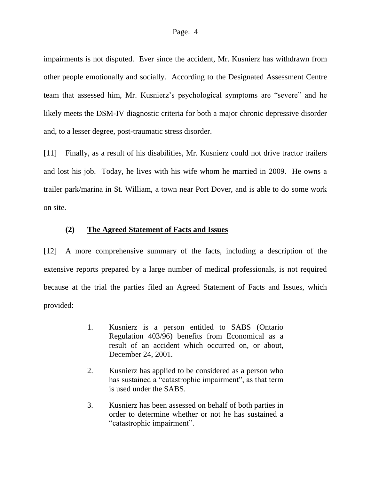impairments is not disputed. Ever since the accident, Mr. Kusnierz has withdrawn from other people emotionally and socially. According to the Designated Assessment Centre team that assessed him, Mr. Kusnierz"s psychological symptoms are "severe" and he likely meets the DSM-IV diagnostic criteria for both a major chronic depressive disorder and, to a lesser degree, post-traumatic stress disorder.

[11] Finally, as a result of his disabilities, Mr. Kusnierz could not drive tractor trailers and lost his job. Today, he lives with his wife whom he married in 2009. He owns a trailer park/marina in St. William, a town near Port Dover, and is able to do some work on site.

## **(2) The Agreed Statement of Facts and Issues**

[12] A more comprehensive summary of the facts, including a description of the extensive reports prepared by a large number of medical professionals, is not required because at the trial the parties filed an Agreed Statement of Facts and Issues, which provided:

- 1. Kusnierz is a person entitled to SABS (Ontario Regulation 403/96) benefits from Economical as a result of an accident which occurred on, or about, December 24, 2001.
- 2. Kusnierz has applied to be considered as a person who has sustained a "catastrophic impairment", as that term is used under the SABS.
- 3. Kusnierz has been assessed on behalf of both parties in order to determine whether or not he has sustained a "catastrophic impairment".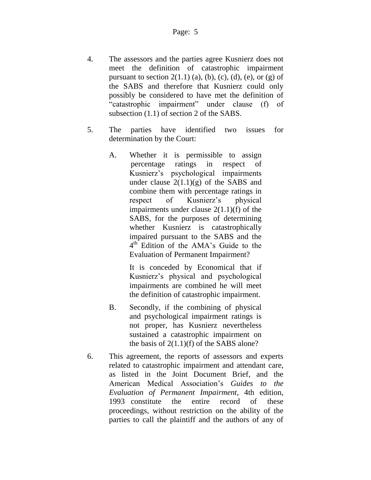- 4. The assessors and the parties agree Kusnierz does not meet the definition of catastrophic impairment pursuant to section  $2(1.1)$  (a), (b), (c), (d), (e), or (g) of the SABS and therefore that Kusnierz could only possibly be considered to have met the definition of "catastrophic impairment" under clause (f) of subsection (1.1) of section 2 of the SABS.
- 5. The parties have identified two issues for determination by the Court:
	- A. Whether it is permissible to assign percentage ratings in respect of Kusnierz"s psychological impairments under clause  $2(1.1)(g)$  of the SABS and combine them with percentage ratings in respect of Kusnierz"s physical impairments under clause 2(1.1)(f) of the SABS, for the purposes of determining whether Kusnierz is catastrophically impaired pursuant to the SABS and the 4<sup>th</sup> Edition of the AMA's Guide to the Evaluation of Permanent Impairment?

It is conceded by Economical that if Kusnierz"s physical and psychological impairments are combined he will meet the definition of catastrophic impairment.

- B. Secondly, if the combining of physical and psychological impairment ratings is not proper, has Kusnierz nevertheless sustained a catastrophic impairment on the basis of  $2(1.1)(f)$  of the SABS alone?
- 6. This agreement, the reports of assessors and experts related to catastrophic impairment and attendant care, as listed in the Joint Document Brief, and the American Medical Association"s *Guides to the Evaluation of Permanent Impairment*, 4th edition, 1993 constitute the entire record of these proceedings, without restriction on the ability of the parties to call the plaintiff and the authors of any of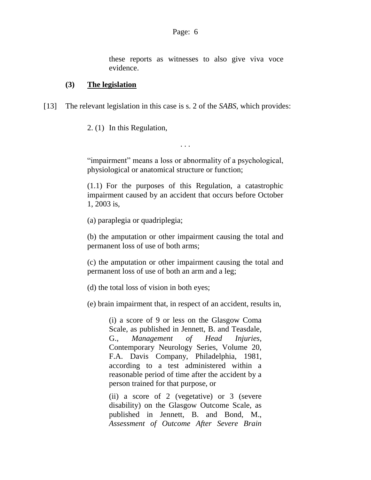these reports as witnesses to also give viva voce evidence.

## **(3) The legislation**

[13] The relevant legislation in this case is s. 2 of the *SABS*, which provides:

2. [\(1\)](http://www.e-laws.gov.on.ca/html/regs/french/elaws_regs_960403_f.htm#s2s1) In this Regulation,

"impairment" means a loss or abnormality of a psychological, physiological or anatomical structure or function;

. . .

[\(1.1\)](http://www.e-laws.gov.on.ca/html/regs/french/elaws_regs_960403_f.htm#s2s1p1) For the purposes of this Regulation, a catastrophic impairment caused by an accident that occurs before October 1, 2003 is,

(a) paraplegia or quadriplegia;

(b) the amputation or other impairment causing the total and permanent loss of use of both arms;

(c) the amputation or other impairment causing the total and permanent loss of use of both an arm and a leg;

(d) the total loss of vision in both eyes;

(e) brain impairment that, in respect of an accident, results in,

(i) a score of 9 or less on the Glasgow Coma Scale, as published in Jennett, B. and Teasdale, G., *Management of Head Injuries*, Contemporary Neurology Series, Volume 20, F.A. Davis Company, Philadelphia, 1981, according to a test administered within a reasonable period of time after the accident by a person trained for that purpose, or

(ii) a score of 2 (vegetative) or 3 (severe disability) on the Glasgow Outcome Scale, as published in Jennett, B. and Bond, M., *Assessment of Outcome After Severe Brain*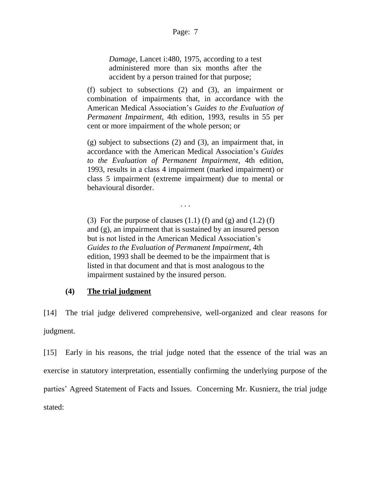*Damage*, Lancet i:480, 1975, according to a test administered more than six months after the accident by a person trained for that purpose;

(f) subject to subsections (2) and (3), an impairment or combination of impairments that, in accordance with the American Medical Association"s *Guides to the Evaluation of Permanent Impairment*, 4th edition, 1993, results in 55 per cent or more impairment of the whole person; or

(g) subject to subsections (2) and (3), an impairment that, in accordance with the American Medical Association"s *Guides to the Evaluation of Permanent Impairment*, 4th edition, 1993, results in a class 4 impairment (marked impairment) or class 5 impairment (extreme impairment) due to mental or behavioural disorder.

. . .

[\(3\)](http://www.e-laws.gov.on.ca/html/regs/french/elaws_regs_960403_f.htm#s2s3) For the purpose of clauses  $(1.1)$  (f) and  $(g)$  and  $(1.2)$  (f) and (g), an impairment that is sustained by an insured person but is not listed in the American Medical Association"s *Guides to the Evaluation of Permanent Impairment*, 4th edition, 1993 shall be deemed to be the impairment that is listed in that document and that is most analogous to the impairment sustained by the insured person.

## **(4) The trial judgment**

[14] The trial judge delivered comprehensive, well-organized and clear reasons for judgment.

[15] Early in his reasons, the trial judge noted that the essence of the trial was an exercise in statutory interpretation, essentially confirming the underlying purpose of the parties" Agreed Statement of Facts and Issues. Concerning Mr. Kusnierz, the trial judge stated: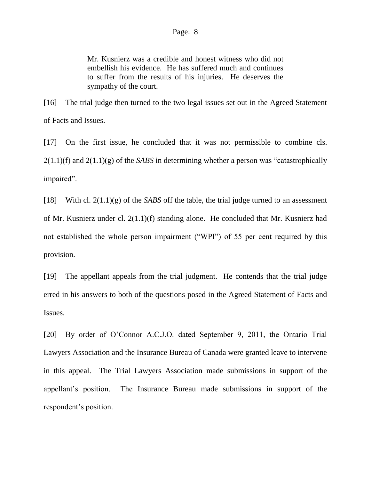Mr. Kusnierz was a credible and honest witness who did not embellish his evidence. He has suffered much and continues to suffer from the results of his injuries. He deserves the sympathy of the court.

[16] The trial judge then turned to the two legal issues set out in the Agreed Statement of Facts and Issues.

[17] On the first issue, he concluded that it was not permissible to combine cls. 2(1.1)(f) and 2(1.1)(g) of the *SABS* in determining whether a person was "catastrophically impaired".

[18] With cl. 2(1.1)(g) of the *SABS* off the table, the trial judge turned to an assessment of Mr. Kusnierz under cl. 2(1.1)(f) standing alone. He concluded that Mr. Kusnierz had not established the whole person impairment ("WPI") of 55 per cent required by this provision.

[19] The appellant appeals from the trial judgment. He contends that the trial judge erred in his answers to both of the questions posed in the Agreed Statement of Facts and Issues.

[20] By order of O"Connor A.C.J.O. dated September 9, 2011, the Ontario Trial Lawyers Association and the Insurance Bureau of Canada were granted leave to intervene in this appeal. The Trial Lawyers Association made submissions in support of the appellant"s position. The Insurance Bureau made submissions in support of the respondent's position.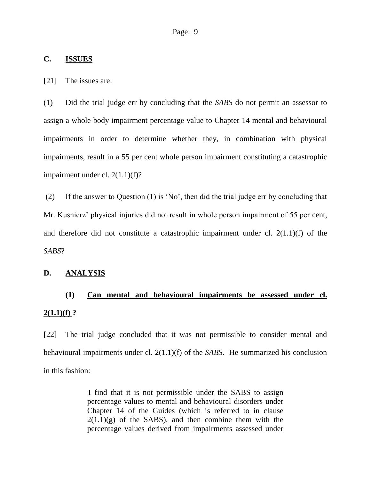### **C. ISSUES**

[21] The issues are:

(1) Did the trial judge err by concluding that the *SABS* do not permit an assessor to assign a whole body impairment percentage value to Chapter 14 mental and behavioural impairments in order to determine whether they, in combination with physical impairments, result in a 55 per cent whole person impairment constituting a catastrophic impairment under cl. 2(1.1)(f)?

(2) If the answer to Question (1) is "No", then did the trial judge err by concluding that Mr. Kusnierz' physical injuries did not result in whole person impairment of 55 per cent, and therefore did not constitute a catastrophic impairment under cl.  $2(1.1)(f)$  of the *SABS*?

## **D. ANALYSIS**

# **(1) Can mental and behavioural impairments be assessed under cl. 2(1.1)(f) ?**

[22] The trial judge concluded that it was not permissible to consider mental and behavioural impairments under cl. 2(1.1)(f) of the *SABS*. He summarized his conclusion in this fashion:

> I find that it is not permissible under the SABS to assign percentage values to mental and behavioural disorders under Chapter 14 of the Guides (which is referred to in clause  $2(1.1)(g)$  of the SABS), and then combine them with the percentage values derived from impairments assessed under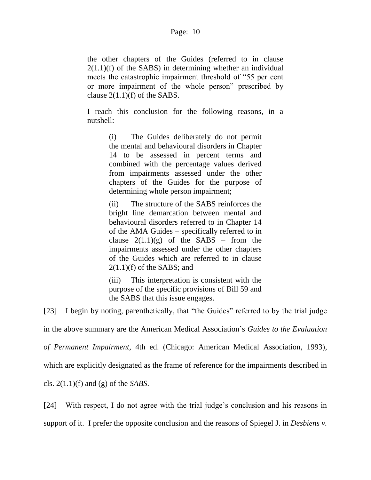the other chapters of the Guides (referred to in clause  $2(1.1)(f)$  of the SABS) in determining whether an individual meets the catastrophic impairment threshold of "55 per cent or more impairment of the whole person" prescribed by clause  $2(1.1)(f)$  of the SABS.

I reach this conclusion for the following reasons, in a nutshell:

> (i) The Guides deliberately do not permit the mental and behavioural disorders in Chapter 14 to be assessed in percent terms and combined with the percentage values derived from impairments assessed under the other chapters of the Guides for the purpose of determining whole person impairment;

> (ii) The structure of the SABS reinforces the bright line demarcation between mental and behavioural disorders referred to in Chapter 14 of the AMA Guides – specifically referred to in clause  $2(1.1)(g)$  of the SABS – from the impairments assessed under the other chapters of the Guides which are referred to in clause  $2(1.1)$ (f) of the SABS; and

> (iii) This interpretation is consistent with the purpose of the specific provisions of Bill 59 and the SABS that this issue engages.

[23] I begin by noting, parenthetically, that "the Guides" referred to by the trial judge

in the above summary are the American Medical Association"s *Guides to the Evaluation of Permanent Impairment*, 4th ed. (Chicago: American Medical Association, 1993), which are explicitly designated as the frame of reference for the impairments described in cls. 2(1.1)(f) and (g) of the *SABS*.

[24] With respect, I do not agree with the trial judge's conclusion and his reasons in support of it. I prefer the opposite conclusion and the reasons of Spiegel J. in *Desbiens v.*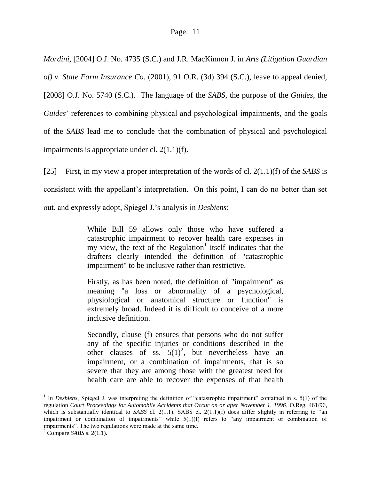*Mordini*, [2004] O.J. No. 4735 (S.C.) and J.R. MacKinnon J. in *Arts (Litigation Guardian of) v. State Farm Insurance Co.* (2001), 91 O.R. (3d) 394 (S.C.), leave to appeal denied, [2008] O.J. No. 5740 (S.C.). The language of the *SABS*, the purpose of the *Guides*, the *Guides*' references to combining physical and psychological impairments, and the goals of the *SABS* lead me to conclude that the combination of physical and psychological impairments is appropriate under cl. 2(1.1)(f).

[25] First, in my view a proper interpretation of the words of cl. 2(1.1)(f) of the *SABS* is consistent with the appellant"s interpretation. On this point, I can do no better than set out, and expressly adopt, Spiegel J."s analysis in *Desbiens*:

> While Bill 59 allows only those who have suffered a catastrophic impairment to recover health care expenses in my view, the text of the Regulation<sup>1</sup> itself indicates that the drafters clearly intended the definition of "catastrophic impairment" to be inclusive rather than restrictive.

> Firstly, as has been noted, the definition of "impairment" as meaning "a loss or abnormality of a psychological, physiological or anatomical structure or function" is extremely broad. Indeed it is difficult to conceive of a more inclusive definition.

> Secondly, clause (f) ensures that persons who do not suffer any of the specific injuries or conditions described in the other clauses of ss.  $5(1)^2$ , but nevertheless have an impairment, or a combination of impairments, that is so severe that they are among those with the greatest need for health care are able to recover the expenses of that health

<sup>&</sup>lt;sup>1</sup> In *Desbiens*, Spiegel J. was interpreting the definition of "catastrophic impairment" contained in s. 5(1) of the regulation *Court Proceedings for Automobile Accidents that Occur on or after November 1, 1996*, O.Reg. 461/96, which is substantially identical to *SABS* cl. 2(1.1). SABS cl. 2(1.1)(f) does differ slightly in referring to "an impairment or combination of impairments" while 5(1)(f) refers to "any impairment or combination of impairments". The two regulations were made at the same time.

<sup>2</sup> Compare *SABS* s. 2(1.1).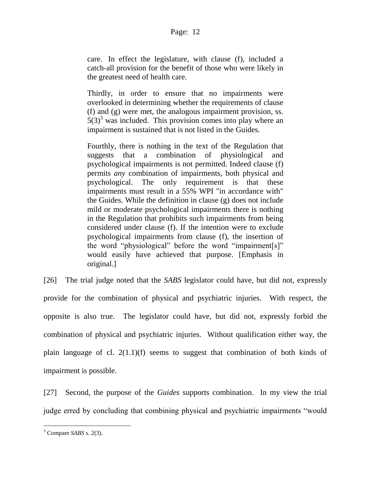care. In effect the legislature, with clause (f), included a catch-all provision for the benefit of those who were likely in the greatest need of health care.

Thirdly, in order to ensure that no impairments were overlooked in determining whether the requirements of clause (f) and (g) were met, the analogous impairment provision, ss.  $5(3)^3$  was included. This provision comes into play where an impairment is sustained that is not listed in the Guides.

Fourthly, there is nothing in the text of the Regulation that suggests that a combination of physiological and psychological impairments is not permitted. Indeed clause (f) permits *any* combination of impairments, both physical and psychological. The only requirement is that these impairments must result in a 55% WPI "in accordance with" the Guides. While the definition in clause (g) does not include mild or moderate psychological impairments there is nothing in the Regulation that prohibits such impairments from being considered under clause (f). If the intention were to exclude psychological impairments from clause (f), the insertion of the word "physiological" before the word "impairment[s]" would easily have achieved that purpose. [Emphasis in original.]

[26] The trial judge noted that the *SABS* legislator could have, but did not, expressly provide for the combination of physical and psychiatric injuries. With respect, the opposite is also true. The legislator could have, but did not, expressly forbid the combination of physical and psychiatric injuries. Without qualification either way, the plain language of cl. 2(1.1)(f) seems to suggest that combination of both kinds of impairment is possible.

[27] Second, the purpose of the *Guides* supports combination. In my view the trial judge erred by concluding that combining physical and psychiatric impairments "would

<sup>3</sup> Compare *SABS* s. 2(3).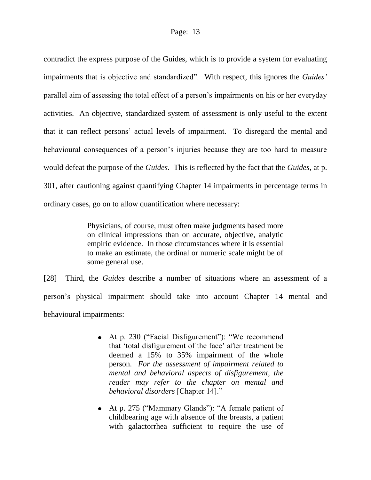contradict the express purpose of the Guides, which is to provide a system for evaluating impairments that is objective and standardized". With respect, this ignores the *Guides'* parallel aim of assessing the total effect of a person's impairments on his or her everyday activities. An objective, standardized system of assessment is only useful to the extent that it can reflect persons" actual levels of impairment. To disregard the mental and behavioural consequences of a person"s injuries because they are too hard to measure would defeat the purpose of the *Guides*. This is reflected by the fact that the *Guides*, at p. 301, after cautioning against quantifying Chapter 14 impairments in percentage terms in ordinary cases, go on to allow quantification where necessary:

> Physicians, of course, must often make judgments based more on clinical impressions than on accurate, objective, analytic empiric evidence. In those circumstances where it is essential to make an estimate, the ordinal or numeric scale might be of some general use.

[28] Third, the *Guides* describe a number of situations where an assessment of a person"s physical impairment should take into account Chapter 14 mental and behavioural impairments:

- At p. 230 ("Facial Disfigurement"): "We recommend that 'total disfigurement of the face' after treatment be deemed a 15% to 35% impairment of the whole person. *For the assessment of impairment related to mental and behavioral aspects of disfigurement, the reader may refer to the chapter on mental and behavioral disorders* [Chapter 14]."
- At p. 275 ("Mammary Glands"): "A female patient of childbearing age with absence of the breasts, a patient with galactorrhea sufficient to require the use of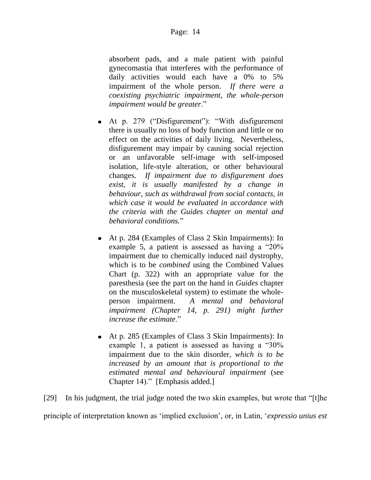absorbent pads, and a male patient with painful gynecomastia that interferes with the performance of daily activities would each have a 0% to 5% impairment of the whole person. *If there were a coexisting psychiatric impairment, the whole-person impairment would be greater*."

- At p. 279 ("Disfigurement"): "With disfigurement there is usually no loss of body function and little or no effect on the activities of daily living. Nevertheless, disfigurement may impair by causing social rejection or an unfavorable self-image with self-imposed isolation, life-style alteration, or other behavioural changes. *If impairment due to disfigurement does exist, it is usually manifested by a change in behaviour, such as withdrawal from social contacts, in which case it would be evaluated in accordance with the criteria with the Guides chapter on mental and behavioral conditions.*"
- At p. 284 (Examples of Class 2 Skin Impairments): In example 5, a patient is assessed as having a "20% impairment due to chemically induced nail dystrophy, which is to be *combined* using the Combined Values Chart (p. 322) with an appropriate value for the paresthesia (see the part on the hand in *Guides* chapter on the musculoskeletal system) to estimate the wholeperson impairment. *A mental and behavioral impairment (Chapter 14, p. 291) might further increase the estimate*."
- At p. 285 (Examples of Class 3 Skin Impairments): In example 1, a patient is assessed as having a "30% impairment due to the skin disorder, *which is to be increased by an amount that is proportional to the estimated mental and behavioural impairment* (see Chapter 14)." [Emphasis added.]

[29] In his judgment, the trial judge noted the two skin examples, but wrote that "[t]he principle of interpretation known as "implied exclusion", or, in Latin, "*expressio unius est*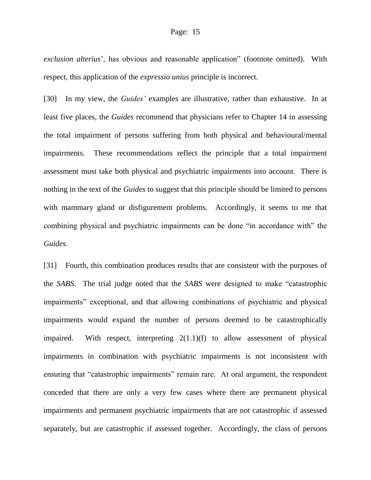*exclusion alterius*", has obvious and reasonable application" (footnote omitted). With respect, this application of the *expressio unius* principle is incorrect.

[30] In my view, the *Guides'* examples are illustrative, rather than exhaustive. In at least five places, the *Guides* recommend that physicians refer to Chapter 14 in assessing the total impairment of persons suffering from both physical and behavioural/mental impairments. These recommendations reflect the principle that a total impairment assessment must take both physical and psychiatric impairments into account. There is nothing in the text of the *Guides* to suggest that this principle should be limited to persons with mammary gland or disfigurement problems. Accordingly, it seems to me that combining physical and psychiatric impairments can be done "in accordance with" the *Guides*.

[31] Fourth, this combination produces results that are consistent with the purposes of the *SABS*. The trial judge noted that the *SABS* were designed to make "catastrophic impairments" exceptional, and that allowing combinations of psychiatric and physical impairments would expand the number of persons deemed to be catastrophically impaired. With respect, interpreting 2(1.1)(f) to allow assessment of physical impairments in combination with psychiatric impairments is not inconsistent with ensuring that "catastrophic impairments" remain rare. At oral argument, the respondent conceded that there are only a very few cases where there are permanent physical impairments and permanent psychiatric impairments that are not catastrophic if assessed separately, but are catastrophic if assessed together. Accordingly, the class of persons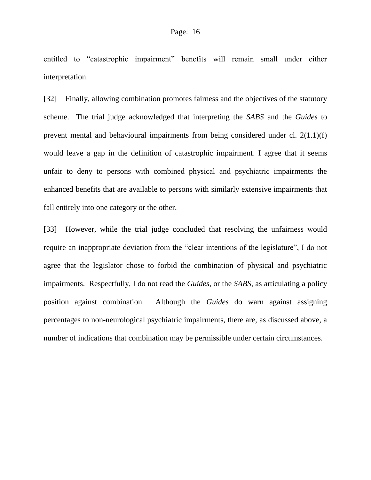entitled to "catastrophic impairment" benefits will remain small under either interpretation.

[32] Finally, allowing combination promotes fairness and the objectives of the statutory scheme. The trial judge acknowledged that interpreting the *SABS* and the *Guides* to prevent mental and behavioural impairments from being considered under cl. 2(1.1)(f) would leave a gap in the definition of catastrophic impairment. I agree that it seems unfair to deny to persons with combined physical and psychiatric impairments the enhanced benefits that are available to persons with similarly extensive impairments that fall entirely into one category or the other.

[33] However, while the trial judge concluded that resolving the unfairness would require an inappropriate deviation from the "clear intentions of the legislature", I do not agree that the legislator chose to forbid the combination of physical and psychiatric impairments. Respectfully, I do not read the *Guides*, or the *SABS*, as articulating a policy position against combination. Although the *Guides* do warn against assigning percentages to non-neurological psychiatric impairments, there are, as discussed above, a number of indications that combination may be permissible under certain circumstances.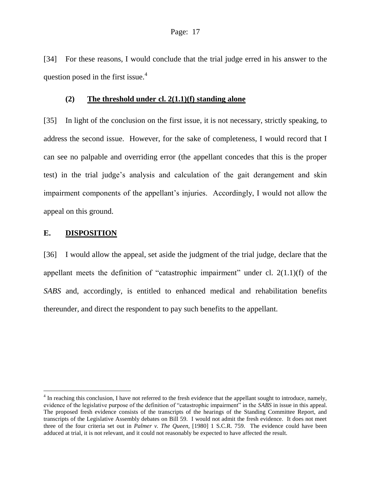[34] For these reasons, I would conclude that the trial judge erred in his answer to the question posed in the first issue.<sup>4</sup>

#### **(2) The threshold under cl. 2(1.1)(f) standing alone**

[35] In light of the conclusion on the first issue, it is not necessary, strictly speaking, to address the second issue. However, for the sake of completeness, I would record that I can see no palpable and overriding error (the appellant concedes that this is the proper test) in the trial judge"s analysis and calculation of the gait derangement and skin impairment components of the appellant's injuries. Accordingly, I would not allow the appeal on this ground.

#### **E. DISPOSITION**

[36] I would allow the appeal, set aside the judgment of the trial judge, declare that the appellant meets the definition of "catastrophic impairment" under cl.  $2(1.1)(f)$  of the *SABS* and, accordingly, is entitled to enhanced medical and rehabilitation benefits thereunder, and direct the respondent to pay such benefits to the appellant.

<sup>&</sup>lt;sup>4</sup> In reaching this conclusion, I have not referred to the fresh evidence that the appellant sought to introduce, namely, evidence of the legislative purpose of the definition of "catastrophic impairment" in the *SABS* in issue in this appeal. The proposed fresh evidence consists of the transcripts of the hearings of the Standing Committee Report, and transcripts of the Legislative Assembly debates on Bill 59. I would not admit the fresh evidence. It does not meet three of the four criteria set out in *Palmer v. The Queen*, [1980] 1 S.C.R. 759. The evidence could have been adduced at trial, it is not relevant, and it could not reasonably be expected to have affected the result.